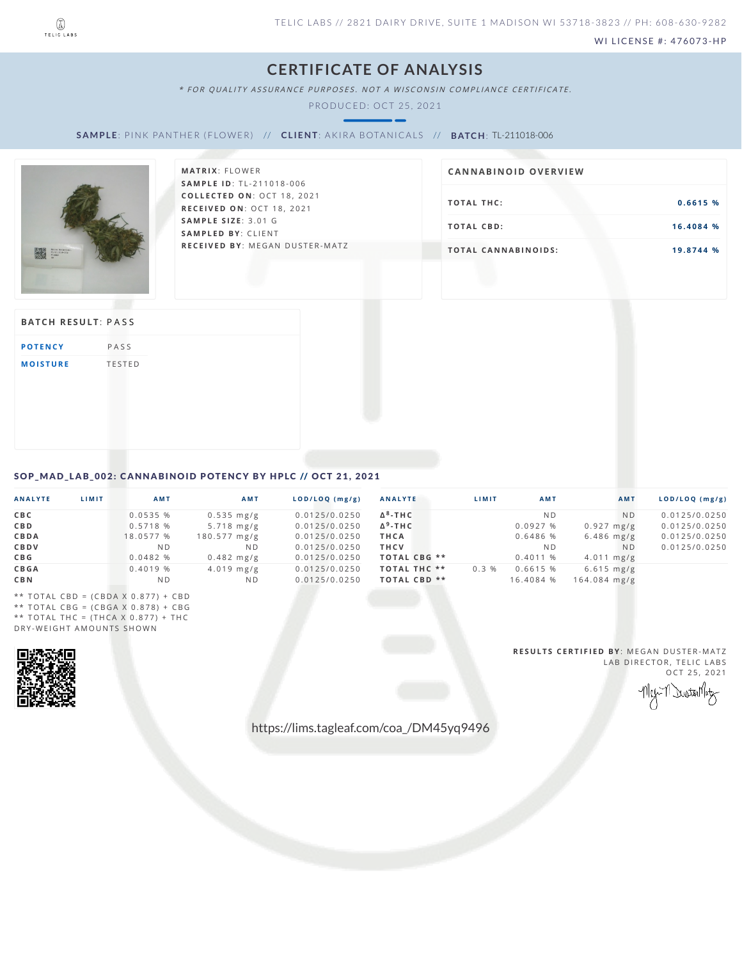

WI LICENSE #: 476073-HP

## **CERTIFICATE OF ANALYSIS**

\* FOR QUALITY ASSURANCE PURPOSES. NOT A WISCONSIN COMPLIANCE CERTIFICATE.

PRODUCED: OCT 25, 2021

SAMPLE: PINK PANTHER (FLOWER) // CLIENT: AKIRA BOTANICALS // BATCH: TL-211018-006



| <b>MATRIX: FLOWER</b>                 | CANNABINOID OVERVIEW       |           |  |  |
|---------------------------------------|----------------------------|-----------|--|--|
| <b>SAMPLE ID: TL-211018-006</b>       |                            |           |  |  |
| <b>COLLECTED ON: OCT 18, 2021</b>     |                            |           |  |  |
| <b>RECEIVED ON: OCT 18, 2021</b>      | TOTAL THC:                 | 0.6615%   |  |  |
| <b>SAMPLE SIZE: 3.01 G</b>            |                            |           |  |  |
| <b>SAMPLED BY: CLIENT</b>             | TOTAL CBD:                 | 16.4084 % |  |  |
| <b>RECEIVED BY: MEGAN DUSTER-MATZ</b> | <b>TOTAL CANNABINOIDS:</b> | 19.8744 % |  |  |

## **BATCH RESULT: PASS**

| <b>POTENCY</b>  | PASS          |
|-----------------|---------------|
| <b>MOISTURE</b> | <b>TESTED</b> |

## <span id="page-0-0"></span>SOP\_MAD\_LAB\_002: CANNABINOID POTENCY BY HPLC // OCT 21, 2021

| ANALYTE     | <b>LIMIT</b> | AMT       | AMT                    | LOD/LOQ (mg/g) | <b>ANALYTE</b>          | LIMIT | <b>AMT</b>     | <b>AMT</b>           | LOD/LOQ (mg/g) |
|-------------|--------------|-----------|------------------------|----------------|-------------------------|-------|----------------|----------------------|----------------|
| C B C       |              | 0.0535%   | $0.535 \, \text{mg/g}$ | 0.0125/0.0250  | $\Delta^8$ -THC         |       | N <sub>D</sub> | N <sub>D</sub>       | 0.0125/0.0250  |
| CBD         |              | 0.5718 %  | $5.718$ mg/g           | 0.0125/0.0250  | $\Delta^9$ -THC         |       | 0.0927%        | $0.927 \text{ mg/g}$ | 0.0125/0.0250  |
| CBDA        |              | 18.0577 % | $180.577 \text{ mg/g}$ | 0.0125/0.0250  | <b>THCA</b>             |       | 0.6486 %       | $6.486$ mg/g         | 0.0125/0.0250  |
| CBDV        |              | ND.       | ND.                    | 0.0125/0.0250  | <b>THCV</b>             |       | ND.            | N <sub>D</sub>       | 0.0125/0.0250  |
| C B G       |              | 0.0482 %  | $0.482$ mg/g           | 0.0125/0.0250  | TOTAL CBG **            |       | 0.4011%        | $4.011 \text{ mg/g}$ |                |
| <b>CBGA</b> |              | 0.4019 %  | $4.019$ mg/g           | 0.0125/0.0250  | <b>TOTAL THC **</b>     | 0.3%  | 0.6615 %       | $6.615 \text{ mg/g}$ |                |
| C B N       |              | ND.       | N <sub>D</sub>         | 0.0125/0.0250  | TOTAL CBD <sup>**</sup> |       | 16.4084 %      | $164.084$ mg/g       |                |

\*\* TOTAL CBD =  $(CBDA \times 0.877) + CBD$ \*\* TOTAL CBG =  $(CBGA \times 0.878) + CBG$ \*\* TOTAL THC =  $(THCA \times 0.877) + THC$ DRY-WEIGHT AMOUNTS SHOWN



**RESULTS CERTIFIED BY: MEGAN DUSTER-MATZ** LAB DIRECTOR, TELIC LABS  $OCT 25, 2021$ 

Dustallaty

https://lims.tagleaf.com/coa\_/DM45yq9496